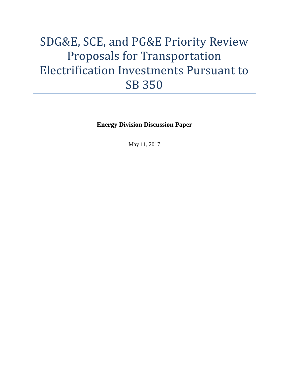# SDG&E, SCE, and PG&E Priority Review Proposals for Transportation Electrification Investments Pursuant to SB 350

**Energy Division Discussion Paper**

May 11, 2017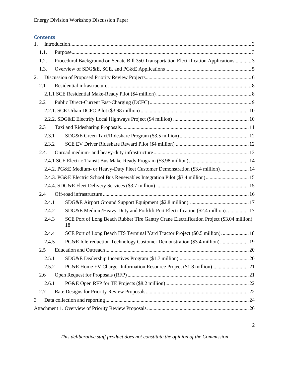#### **Contents**

| 1. |                                                                                |                                                                                                 |  |  |  |
|----|--------------------------------------------------------------------------------|-------------------------------------------------------------------------------------------------|--|--|--|
|    | 1.1.                                                                           |                                                                                                 |  |  |  |
|    | 1.2.                                                                           | Procedural Background on Senate Bill 350 Transportation Electrification Applications3           |  |  |  |
|    | 1.3.                                                                           |                                                                                                 |  |  |  |
| 2. |                                                                                |                                                                                                 |  |  |  |
|    | 2.1                                                                            |                                                                                                 |  |  |  |
|    |                                                                                |                                                                                                 |  |  |  |
|    | 2.2                                                                            |                                                                                                 |  |  |  |
|    |                                                                                |                                                                                                 |  |  |  |
|    |                                                                                |                                                                                                 |  |  |  |
|    | 2.3                                                                            |                                                                                                 |  |  |  |
|    | 2.3.1                                                                          |                                                                                                 |  |  |  |
|    | 2.3.2                                                                          |                                                                                                 |  |  |  |
|    | 2.4.                                                                           |                                                                                                 |  |  |  |
|    |                                                                                |                                                                                                 |  |  |  |
|    |                                                                                | 2.4.2. PG&E Medium- or Heavy-Duty Fleet Customer Demonstration (\$3.4 million) 14               |  |  |  |
|    | 2.4.3. PG&E Electric School Bus Renewables Integration Pilot (\$3.4 million)15 |                                                                                                 |  |  |  |
|    |                                                                                |                                                                                                 |  |  |  |
|    | 2.4                                                                            |                                                                                                 |  |  |  |
|    | 2.4.1                                                                          |                                                                                                 |  |  |  |
|    | 2.4.2                                                                          | SDG&E Medium/Heavy-Duty and Forklift Port Electrification (\$2.4 million).  17                  |  |  |  |
|    | 2.4.3                                                                          | SCE Port of Long Beach Rubber Tire Gantry Crane Electrification Project (\$3.04 million).<br>18 |  |  |  |
|    | 2.4.4                                                                          | SCE Port of Long Beach ITS Terminal Yard Tractor Project (\$0.5 million).  18                   |  |  |  |
|    | 2.4.5                                                                          | PG&E Idle-reduction Technology Customer Demonstration (\$3.4 million) 19                        |  |  |  |
|    | 2.5                                                                            |                                                                                                 |  |  |  |
|    | 2.5.1                                                                          |                                                                                                 |  |  |  |
|    | 2.5.2                                                                          |                                                                                                 |  |  |  |
|    | 2.6                                                                            |                                                                                                 |  |  |  |
|    | 2.6.1                                                                          |                                                                                                 |  |  |  |
|    | 2.7                                                                            |                                                                                                 |  |  |  |
| 3  |                                                                                |                                                                                                 |  |  |  |
|    |                                                                                |                                                                                                 |  |  |  |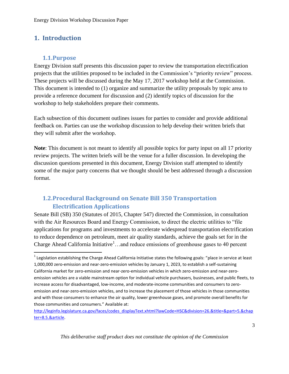# <span id="page-2-0"></span>**1. Introduction**

#### <span id="page-2-1"></span>**1.1.Purpose**

 $\overline{\phantom{a}}$ 

Energy Division staff presents this discussion paper to review the transportation electrification projects that the utilities proposed to be included in the Commission's "priority review" process. These projects will be discussed during the May 17, 2017 workshop held at the Commission. This document is intended to (1) organize and summarize the utility proposals by topic area to provide a reference document for discussion and (2) identify topics of discussion for the workshop to help stakeholders prepare their comments.

Each subsection of this document outlines issues for parties to consider and provide additional feedback on. Parties can use the workshop discussion to help develop their written briefs that they will submit after the workshop.

**Note**: This document is not meant to identify all possible topics for party input on all 17 priority review projects. The written briefs will be the venue for a fuller discussion. In developing the discussion questions presented in this document, Energy Division staff attempted to identify some of the major party concerns that we thought should be best addressed through a discussion format.

# <span id="page-2-2"></span>**1.2.Procedural Background on Senate Bill 350 Transportation Electrification Applications**

Senate Bill (SB) 350 (Statutes of 2015, Chapter 547) directed the Commission, in consultation with the Air Resources Board and Energy Commission, to direct the electric utilities to "file applications for programs and investments to accelerate widespread transportation electrification to reduce dependence on petroleum, meet air quality standards, achieve the goals set for in the Charge Ahead California Initiative<sup>1</sup>...and reduce emissions of greenhouse gases to 40 percent

 $^1$  Legislation establishing the Charge Ahead California Initiative states the following goals: "place in service at least 1,000,000 zero-emission and near-zero-emission vehicles by January 1, 2023, to establish a self-sustaining California market for zero-emission and near-zero-emission vehicles in which zero-emission and near-zeroemission vehicles are a viable mainstream option for individual vehicle purchasers, businesses, and public fleets, to increase access for disadvantaged, low-income, and moderate-income communities and consumers to zeroemission and near-zero-emission vehicles, and to increase the placement of those vehicles in those communities and with those consumers to enhance the air quality, lower greenhouse gases, and promote overall benefits for those communities and consumers." Available at:

[http://leginfo.legislature.ca.gov/faces/codes\\_displayText.xhtml?lawCode=HSC&division=26.&title=&part=5.&chap](http://leginfo.legislature.ca.gov/faces/codes_displayText.xhtml?lawCode=HSC&division=26.&title=&part=5.&chapter=8.5.&article) [ter=8.5.&article.](http://leginfo.legislature.ca.gov/faces/codes_displayText.xhtml?lawCode=HSC&division=26.&title=&part=5.&chapter=8.5.&article)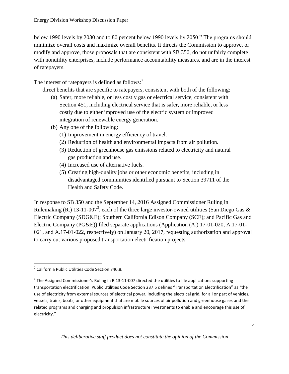below 1990 levels by 2030 and to 80 percent below 1990 levels by 2050." The programs should minimize overall costs and maximize overall benefits. It directs the Commission to approve, or modify and approve, those proposals that are consistent with SB 350, do not unfairly complete with nonutility enterprises, include performance accountability measures, and are in the interest of ratepayers.

The interest of ratepayers is defined as follows:<sup>2</sup>

direct benefits that are specific to ratepayers, consistent with both of the following:

- (a) Safer, more reliable, or less costly gas or electrical service, consistent with Section 451, including electrical service that is safer, more reliable, or less costly due to either improved use of the electric system or improved integration of renewable energy generation.
- (b) Any one of the following:
	- (1) Improvement in energy efficiency of travel.
	- (2) Reduction of health and environmental impacts from air pollution.
	- (3) Reduction of greenhouse gas emissions related to electricity and natural gas production and use.
	- (4) Increased use of alternative fuels.
	- (5) Creating high-quality jobs or other economic benefits, including in disadvantaged communities identified pursuant to Section 39711 of the Health and Safety Code.

In response to SB 350 and the September 14, 2016 Assigned Commissioner Ruling in Rulemaking (R.) 13-11-007<sup>3</sup>, each of the three large investor-owned utilities (San Diego Gas & Electric Company (SDG&E); Southern California Edison Company (SCE); and Pacific Gas and Electric Company (PG&E)) filed separate applications (Application (A.) 17-01-020, A.17-01- 021, and A.17-01-022, respectively) on January 20, 2017, requesting authorization and approval to carry out various proposed transportation electrification projects.

 2 California Public Utilities Code Section 740.8.

 $^3$  The Assigned Commissioner's Ruling in R.13-11-007 directed the utilities to file applications supporting transportation electrification. Public Utilities Code Section 237.5 defines "Transportation Electrification" as "the use of electricity from external sources of electrical power, including the electrical grid, for all or part of vehicles, vessels, trains, boats, or other equipment that are mobile sources of air pollution and greenhouse gases and the related programs and charging and propulsion infrastructure investments to enable and encourage this use of electricity."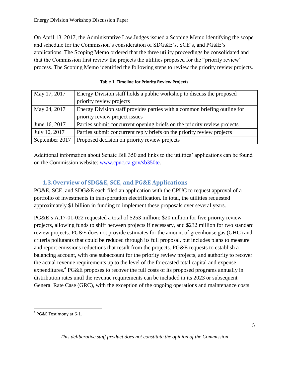On April 13, 2017, the Administrative Law Judges issued a Scoping Memo identifying the scope and schedule for the Commission's consideration of SDG&E's, SCE's, and PG&E's applications. The Scoping Memo ordered that the three utility proceedings be consolidated and that the Commission first review the projects the utilities proposed for the "priority review" process. The Scoping Memo identified the following steps to review the priority review projects.

| May 17, 2017   | Energy Division staff holds a public workshop to discuss the proposed     |
|----------------|---------------------------------------------------------------------------|
|                | priority review projects                                                  |
| May 24, 2017   | Energy Division staff provides parties with a common briefing outline for |
|                | priority review project issues                                            |
| June 16, 2017  | Parties submit concurrent opening briefs on the priority review projects  |
| July 10, 2017  | Parties submit concurrent reply briefs on the priority review projects    |
| September 2017 | Proposed decision on priority review projects                             |

#### **Table 1. Timeline for Priority Review Projects**

Additional information about Senate Bill 350 and links to the utilities' applications can be found on the Commission website: [www.cpuc.ca.gov/sb350te.](http://www.cpuc.ca.gov/sb350te)

# <span id="page-4-0"></span>**1.3.Overview of SDG&E, SCE, and PG&E Applications**

PG&E, SCE, and SDG&E each filed an application with the CPUC to request approval of a portfolio of investments in transportation electrification. In total, the utilities requested approximately \$1 billion in funding to implement these proposals over several years.

PG&E's A.17-01-022 requested a total of \$253 million: \$20 million for five priority review projects, allowing funds to shift between projects if necessary, and \$232 million for two standard review projects. PG&E does not provide estimates for the amount of greenhouse gas (GHG) and criteria pollutants that could be reduced through its full proposal, but includes plans to measure and report emissions reductions that result from the projects. PG&E requests to establish a balancing account, with one subaccount for the priority review projects, and authority to recover the actual revenue requirements up to the level of the forecasted total capital and expense expenditures.<sup>4</sup> PG&E proposes to recover the full costs of its proposed programs annually in distribution rates until the revenue requirements can be included in its 2023 or subsequent General Rate Case (GRC), with the exception of the ongoing operations and maintenance costs

<sup>&</sup>lt;sup>4</sup> PG&E Testimony at 6-1.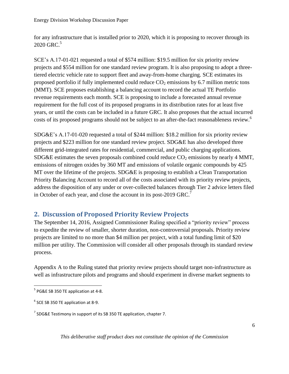for any infrastructure that is installed prior to 2020, which it is proposing to recover through its 2020 GRC.<sup>5</sup>

SCE's A.17-01-021 requested a total of \$574 million: \$19.5 million for six priority review projects and \$554 million for one standard review program. It is also proposing to adopt a threetiered electric vehicle rate to support fleet and away-from-home charging. SCE estimates its proposed portfolio if fully implemented could reduce  $CO<sub>2</sub>$  emissions by 6.7 million metric tons (MMT). SCE proposes establishing a balancing account to record the actual TE Portfolio revenue requirements each month. SCE is proposing to include a forecasted annual revenue requirement for the full cost of its proposed programs in its distribution rates for at least five years, or until the costs can be included in a future GRC. It also proposes that the actual incurred costs of its proposed programs should not be subject to an after-the-fact reasonableness review.<sup>6</sup>

SDG&E's A.17-01-020 requested a total of \$244 million: \$18.2 million for six priority review projects and \$223 million for one standard review project. SDG&E has also developed three different grid-integrated rates for residential, commercial, and public charging applications. SDG&E estimates the seven proposals combined could reduce  $CO<sub>2</sub>$  emissions by nearly 4 MMT, emissions of nitrogen oxides by 360 MT and emissions of volatile organic compounds by 425 MT over the lifetime of the projects. SDG&E is proposing to establish a Clean Transportation Priority Balancing Account to record all of the costs associated with its priority review projects, address the disposition of any under or over-collected balances through Tier 2 advice letters filed in October of each year, and close the account in its post-2019 GRC.<sup>7</sup>

# <span id="page-5-0"></span>**2. Discussion of Proposed Priority Review Projects**

The September 14, 2016, Assigned Commissioner Ruling specified a "priority review" process to expedite the review of smaller, shorter duration, non-controversial proposals. Priority review projects are limited to no more than \$4 million per project, with a total funding limit of \$20 million per utility. The Commission will consider all other proposals through its standard review process.

Appendix A to the Ruling stated that priority review projects should target non-infrastructure as well as infrastructure pilots and programs and should experiment in diverse market segments to

 $\overline{\phantom{a}}$ 

 $<sup>5</sup>$  PG&E SB 350 TE application at 4-8.</sup>

 $<sup>6</sup>$  SCE SB 350 TE application at 8-9.</sup>

<sup>&</sup>lt;sup>7</sup> SDG&E Testimony in support of its SB 350 TE application, chapter 7.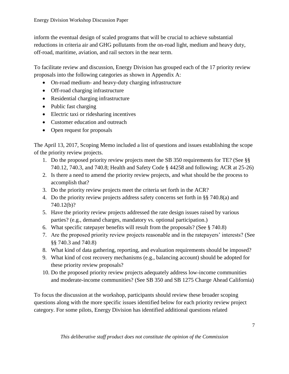inform the eventual design of scaled programs that will be crucial to achieve substantial reductions in criteria air and GHG pollutants from the on-road light, medium and heavy duty, off-road, maritime, aviation, and rail sectors in the near term.

To facilitate review and discussion, Energy Division has grouped each of the 17 priority review proposals into the following categories as shown in Appendix A:

- On-road medium- and heavy-duty charging infrastructure
- Off-road charging infrastructure
- Residential charging infrastructure
- Public fast charging
- Electric taxi or ridesharing incentives
- Customer education and outreach
- Open request for proposals

The April 13, 2017, Scoping Memo included a list of questions and issues establishing the scope of the priority review projects.

- 1. Do the proposed priority review projects meet the SB 350 requirements for TE? (See §§ 740.12, 740.3, and 740.8; Health and Safety Code § 44258 and following; ACR at 25-26)
- 2. Is there a need to amend the priority review projects, and what should be the process to accomplish that?
- 3. Do the priority review projects meet the criteria set forth in the ACR?
- 4. Do the priority review projects address safety concerns set forth in §§ 740.8(a) and 740.12(b)?
- 5. Have the priority review projects addressed the rate design issues raised by various parties? (e.g., demand charges, mandatory vs. optional participation.)
- 6. What specific ratepayer benefits will result from the proposals? (See § 740.8)
- 7. Are the proposed priority review projects reasonable and in the ratepayers' interests? (See §§ 740.3 and 740.8)
- 8. What kind of data gathering, reporting, and evaluation requirements should be imposed?
- 9. What kind of cost recovery mechanisms (e.g., balancing account) should be adopted for these priority review proposals?
- 10. Do the proposed priority review projects adequately address low-income communities and moderate-income communities? (See SB 350 and SB 1275 Charge Ahead California)

To focus the discussion at the workshop, participants should review these broader scoping questions along with the more specific issues identified below for each priority review project category. For some pilots, Energy Division has identified additional questions related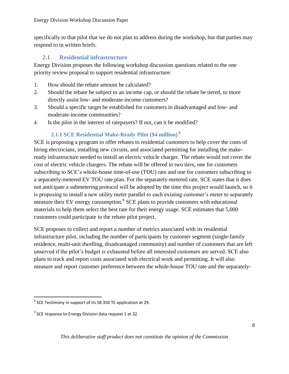specifically to that pilot that we do not plan to address during the workshop, but that parties may respond to in written briefs.

# <span id="page-7-0"></span>**2.1 Residential infrastructure**

Energy Division proposes the following workshop discussion questions related to the one priority review proposal to support residential infrastructure:

- 1. How should the rebate amount be calculated?
- 2. Should the rebate be subject to an income cap, or should the rebate be tiered, to more directly assist low- and moderate-income customers?
- 3. Should a specific target be established for customers in disadvantaged and low- and moderate-income communities?
- 4. Is the pilot in the interest of ratepayers? If not, can it be modified?

## **2.1.1 SCE Residential Make-Ready Pilot (\$4 million) <sup>8</sup>**

<span id="page-7-1"></span>SCE is proposing a program to offer rebates to residential customers to help cover the costs of hiring electricians, installing new circuits, and associated permitting for installing the makeready infrastructure needed to install an electric vehicle charger. The rebate would not cover the cost of electric vehicle chargers. The rebate will be offered in two tiers, one for customers subscribing to SCE's whole-house time-of-use (TOU) rate and one for customers subscribing to a separately-metered EV TOU rate plan. For the separately-metered rate, SCE states that it does not anticipate a submetering protocol will be adopted by the time this project would launch, so it is proposing to install a new utility meter parallel to each existing customer's meter to separately measure their EV energy consumption.<sup>9</sup> SCE plans to provide customers with educational materials to help them select the best rate for their energy usage. SCE estimates that 5,000 customers could participate in the rebate pilot project.

SCE proposes to collect and report a number of metrics associated with its residential infrastructure pilot, including the number of participants by customer segment (single-family residence, multi-unit dwelling, disadvantaged community) and number of customers that are left unserved if the pilot's budget is exhausted before all interested customers are served. SCE also plans to track and report costs associated with electrical work and permitting. It will also measure and report customer preference between the whole-house TOU rate and the separately-

 $^8$  SCE Testimony in support of its SB 350 TE application at 29.

 $^9$  SCE response to Energy Division data request 1 at 32.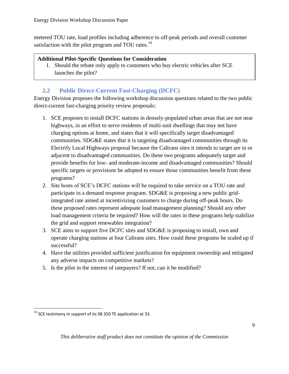metered TOU rate, load profiles including adherence to off-peak periods and overall customer satisfaction with the pilot program and TOU rates.<sup>10</sup>

#### **Additional Pilot-Specific Questions for Consideration**

1. Should the rebate only apply to customers who buy electric vehicles after SCE launches the pilot?

# **2.2 Public Direct-Current Fast-Charging (DCFC)**

<span id="page-8-0"></span>Energy Division proposes the following workshop discussion questions related to the two public direct-current fast-charging priority review proposals:

- 1. SCE proposes to install DCFC stations in densely-populated urban areas that are not near highways, in an effort to serve residents of multi-unit dwellings that may not have charging options at home, and states that it will specifically target disadvantaged communities. SDG&E states that it is targeting disadvantaged communities through its Electrify Local Highways proposal because the Caltrans sites it intends to target are in or adjacent to disadvantaged communities. Do these two programs adequately target and provide benefits for low- and moderate-income and disadvantaged communities? Should specific targets or provisions be adopted to ensure those communities benefit from these programs?
- 2. Site hosts of SCE's DCFC stations will be required to take service on a TOU rate and participate in a demand response program. SDG&E is proposing a new public gridintegrated rate aimed at incentivizing customers to charge during off-peak hours. Do these proposed rates represent adequate load management planning? Should any other load management criteria be required? How will the rates in these programs help stabilize the grid and support renewables integration?
- 3. SCE aims to support five DCFC sites and SDG&E is proposing to install, own and operate charging stations at four Caltrans sites. How could these programs be scaled up if successful?
- 4. Have the utilities provided sufficient justification for equipment ownership and mitigated any adverse impacts on competitive markets?
- 5. Is the pilot in the interest of ratepayers? If not, can it be modified?

 $10$  SCE testimony in support of its SB 350 TE application at 33.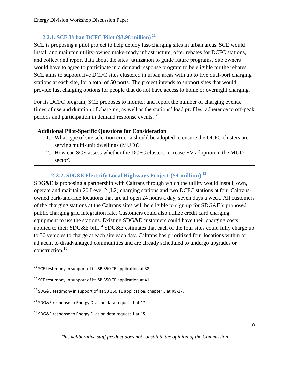# **2.2.1. SCE Urban DCFC Pilot (\$3.98 million) <sup>11</sup>**

<span id="page-9-0"></span>SCE is proposing a pilot project to help deploy fast-charging sites in urban areas. SCE would install and maintain utility-owned make-ready infrastructure, offer rebates for DCFC stations, and collect and report data about the sites' utilization to guide future programs. Site owners would have to agree to participate in a demand response program to be eligible for the rebates. SCE aims to support five DCFC sites clustered in urban areas with up to five dual-port charging stations at each site, for a total of 50 ports. The project intends to support sites that would provide fast charging options for people that do not have access to home or overnight charging.

For its DCFC program, SCE proposes to monitor and report the number of charging events, times of use and duration of charging, as well as the stations' load profiles, adherence to off-peak periods and participation in demand response events.<sup>12</sup>

# **Additional Pilot-Specific Questions for Consideration**

- 1. What type of site selection criteria should be adopted to ensure the DCFC clusters are serving multi-unit dwellings (MUD)?
- 2. How can SCE assess whether the DCFC clusters increase EV adoption in the MUD sector?

# **2.2.2. SDG&E Electrify Local Highways Project (\$4 million) <sup>13</sup>**

<span id="page-9-1"></span>SDG&E is proposing a partnership with Caltrans through which the utility would install, own, operate and maintain 20 Level 2 (L2) charging stations and two DCFC stations at four Caltransowned park-and-ride locations that are all open 24 hours a day, seven days a week. All customers of the charging stations at the Caltrans sites will be eligible to sign up for SDG&E's proposed public charging grid integration rate. Customers could also utilize credit card charging equipment to use the stations. Existing SDG&E customers could have their charging costs applied to their SDG&E bill.<sup>14</sup> SDG&E estimates that each of the four sites could fully charge up to 30 vehicles to charge at each site each day. Caltrans has prioritized four locations within or adjacent to disadvantaged communities and are already scheduled to undergo upgrades or construction.<sup>15</sup>

 $\overline{a}$  $^{11}$  SCE testimony in support of its SB 350 TE application at 38.

 $12$  SCE testimony in support of its SB 350 TE application at 41.

 $13$  SDG&E testimony in support of its SB 350 TE application, chapter 3 at RS-17.

<sup>&</sup>lt;sup>14</sup> SDG&E response to Energy Division data request 1 at 17.

<sup>&</sup>lt;sup>15</sup> SDG&E response to Energy Division data request 1 at 15.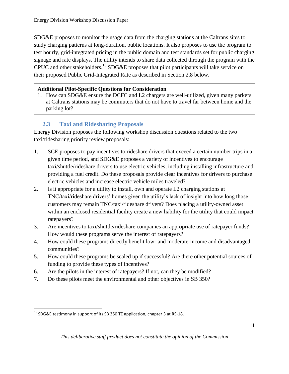SDG&E proposes to monitor the usage data from the charging stations at the Caltrans sites to study charging patterns at long-duration, public locations. It also proposes to use the program to test hourly, grid-integrated pricing in the public domain and test standards set for public charging signage and rate displays. The utility intends to share data collected through the program with the CPUC and other stakeholders.<sup>16</sup> SDG&E proposes that pilot participants will take service on their proposed Public Grid-Integrated Rate as described in Section 2.8 below.

#### **Additional Pilot-Specific Questions for Consideration**

1. How can SDG&E ensure the DCFC and L2 chargers are well-utilized, given many parkers at Caltrans stations may be commuters that do not have to travel far between home and the parking lot?

# **2.3 Taxi and Ridesharing Proposals**

<span id="page-10-0"></span>Energy Division proposes the following workshop discussion questions related to the two taxi/ridesharing priority review proposals:

- 1. SCE proposes to pay incentives to rideshare drivers that exceed a certain number trips in a given time period, and SDG&E proposes a variety of incentives to encourage taxi/shuttle/rideshare drivers to use electric vehicles, including installing infrastructure and providing a fuel credit. Do these proposals provide clear incentives for drivers to purchase electric vehicles and increase electric vehicle miles traveled?
- 2. Is it appropriate for a utility to install, own and operate L2 charging stations at TNC/taxi/rideshare drivers' homes given the utility's lack of insight into how long those customers may remain TNC/taxi/rideshare drivers? Does placing a utility-owned asset within an enclosed residential facility create a new liability for the utility that could impact ratepayers?
- 3. Are incentives to taxi/shuttle/rideshare companies an appropriate use of ratepayer funds? How would these programs serve the interest of ratepayers?
- 4. How could these programs directly benefit low- and moderate-income and disadvantaged communities?
- 5. How could these programs be scaled up if successful? Are there other potential sources of funding to provide these types of incentives?
- 6. Are the pilots in the interest of ratepayers? If not, can they be modified?
- 7. Do these pilots meet the environmental and other objectives in SB 350?

<sup>&</sup>lt;sup>16</sup> SDG&E testimony in support of its SB 350 TE application, chapter 3 at RS-18.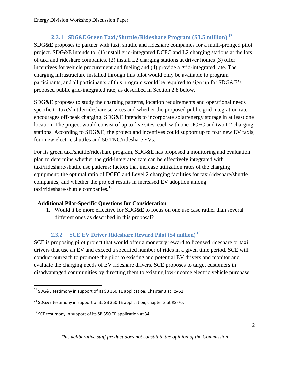# **2.3.1 SDG&E Green Taxi/Shuttle/Rideshare Program (\$3.5 million) <sup>17</sup>**

<span id="page-11-0"></span>SDG&E proposes to partner with taxi, shuttle and rideshare companies for a multi-pronged pilot project. SDG&E intends to: (1) install grid-integrated DCFC and L2 charging stations at the lots of taxi and rideshare companies, (2) install L2 charging stations at driver homes (3) offer incentives for vehicle procurement and fueling and (4) provide a grid-integrated rate. The charging infrastructure installed through this pilot would only be available to program participants, and all participants of this program would be required to sign up for SDG&E's proposed public grid-integrated rate, as described in Section 2.8 below.

SDG&E proposes to study the charging patterns, location requirements and operational needs specific to taxi/shuttle/rideshare services and whether the proposed public grid integration rate encourages off-peak charging. SDG&E intends to incorporate solar/energy storage in at least one location. The project would consist of up to five sites, each with one DCFC and two L2 charging stations. According to SDG&E, the project and incentives could support up to four new EV taxis, four new electric shuttles and 50 TNC/rideshare EVs.

For its green taxi/shuttle/rideshare program, SDG&E has proposed a monitoring and evaluation plan to determine whether the grid-integrated rate can be effectively integrated with taxi/rideshare/shuttle use patterns; factors that increase utilization rates of the charging equipment; the optimal ratio of DCFC and Level 2 charging facilities for taxi/rideshare/shuttle companies; and whether the project results in increased EV adoption among taxi/rideshare/shuttle companies.<sup>18</sup>

#### **Additional Pilot-Specific Questions for Consideration**

1. Would it be more effective for SDG&E to focus on one use case rather than several different ones as described in this proposal?

# <span id="page-11-1"></span>**2.3.2 SCE EV Driver Rideshare Reward Pilot (\$4 million) <sup>19</sup>**

SCE is proposing pilot project that would offer a monetary reward to licensed rideshare or taxi drivers that use an EV and exceed a specified number of rides in a given time period. SCE will conduct outreach to promote the pilot to existing and potential EV drivers and monitor and evaluate the charging needs of EV rideshare drivers. SCE proposes to target customers in disadvantaged communities by directing them to existing low-income electric vehicle purchase

 $\overline{\phantom{a}}$  $17$  SDG&E testimony in support of its SB 350 TE application, Chapter 3 at RS-61.

<sup>&</sup>lt;sup>18</sup> SDG&E testimony in support of its SB 350 TE application, chapter 3 at RS-76.

 $19$  SCE testimony in support of its SB 350 TE application at 34.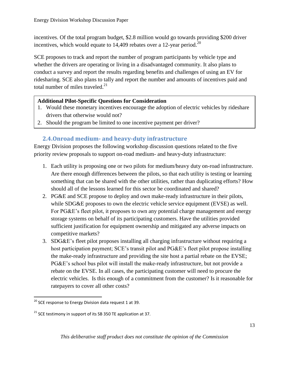incentives. Of the total program budget, \$2.8 million would go towards providing \$200 driver incentives, which would equate to  $14,409$  rebates over a 12-year period.<sup>20</sup>

SCE proposes to track and report the number of program participants by vehicle type and whether the drivers are operating or living in a disadvantaged community. It also plans to conduct a survey and report the results regarding benefits and challenges of using an EV for ridesharing. SCE also plans to tally and report the number and amounts of incentives paid and total number of miles traveled. $^{21}$ 

#### **Additional Pilot-Specific Questions for Consideration**

- 1. Would these monetary incentives encourage the adoption of electric vehicles by rideshare drivers that otherwise would not?
- 2. Should the program be limited to one incentive payment per driver?

# **2.4.Onroad medium- and heavy-duty infrastructure**

<span id="page-12-0"></span>Energy Division proposes the following workshop discussion questions related to the five priority review proposals to support on-road medium- and heavy-duty infrastructure:

- 1. Each utility is proposing one or two pilots for medium/heavy duty on-road infrastructure. Are there enough differences between the pilots, so that each utility is testing or learning something that can be shared with the other utilities, rather than duplicating efforts? How should all of the lessons learned for this sector be coordinated and shared?
- 2. PG&E and SCE propose to deploy and own make-ready infrastructure in their pilots, while SDG&E proposes to own the electric vehicle service equipment (EVSE) as well. For PG&E's fleet pilot, it proposes to own any potential charge management and energy storage systems on behalf of its participating customers. Have the utilities provided sufficient justification for equipment ownership and mitigated any adverse impacts on competitive markets?
- 3. SDG&E's fleet pilot proposes installing all charging infrastructure without requiring a host participation payment; SCE's transit pilot and PG&E's fleet pilot propose installing the make-ready infrastructure and providing the site host a partial rebate on the EVSE; PG&E's school bus pilot will install the make-ready infrastructure, but not provide a rebate on the EVSE. In all cases, the participating customer will need to procure the electric vehicles. Is this enough of a commitment from the customer? Is it reasonable for ratepayers to cover all other costs?

 $^{20}$  SCE response to Energy Division data request 1 at 39.

 $21$  SCE testimony in support of its SB 350 TE application at 37.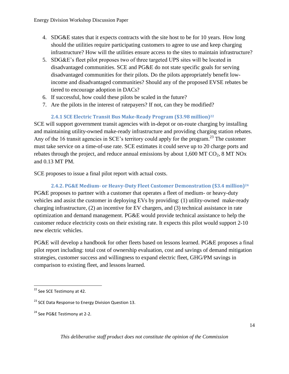- 4. SDG&E states that it expects contracts with the site host to be for 10 years. How long should the utilities require participating customers to agree to use and keep charging infrastructure? How will the utilities ensure access to the sites to maintain infrastructure?
- 5. SDG&E's fleet pilot proposes two of three targeted UPS sites will be located in disadvantaged communities. SCE and PG&E do not state specific goals for serving disadvantaged communities for their pilots. Do the pilots appropriately benefit lowincome and disadvantaged communities? Should any of the proposed EVSE rebates be tiered to encourage adoption in DACs?
- 6. If successful, how could these pilots be scaled in the future?
- 7. Are the pilots in the interest of ratepayers? If not, can they be modified?

#### **2.4.1 SCE Electric Transit Bus Make-Ready Program (\$3.98 million)<sup>22</sup>**

<span id="page-13-0"></span>SCE will support government transit agencies with in-depot or on-route charging by installing and maintaining utility-owned make-ready infrastructure and providing charging station rebates. Any of the 16 transit agencies in SCE's territory could apply for the program.<sup>23</sup> The customer must take service on a time-of-use rate. SCE estimates it could serve up to 20 charge ports and rebates through the project, and reduce annual emissions by about  $1,600$  MT CO<sub>2</sub>, 8 MT NOx and 0.13 MT PM.

SCE proposes to issue a final pilot report with actual costs.

<span id="page-13-1"></span>**2.4.2. PG&E Medium- or Heavy-Duty Fleet Customer Demonstration (\$3.4 million)<sup>24</sup>** PG&E proposes to partner with a customer that operates a fleet of medium- or heavy-duty vehicles and assist the customer in deploying EVs by providing: (1) utility-owned make-ready charging infrastructure, (2) an incentive for EV chargers, and (3) technical assistance in rate optimization and demand management. PG&E would provide technical assistance to help the customer reduce electricity costs on their existing rate. It expects this pilot would support 2-10 new electric vehicles.

PG&E will develop a handbook for other fleets based on lessons learned. PG&E proposes a final pilot report including: total cost of ownership evaluation, cost and savings of demand mitigation strategies, customer success and willingness to expand electric fleet, GHG/PM savings in comparison to existing fleet, and lessons learned.

 $\overline{\phantom{a}}$ 

<sup>&</sup>lt;sup>22</sup> See SCE Testimony at 42.

<sup>&</sup>lt;sup>23</sup> SCE Data Response to Energy Division Question 13.

<sup>&</sup>lt;sup>24</sup> See PG&E Testimony at 2-2.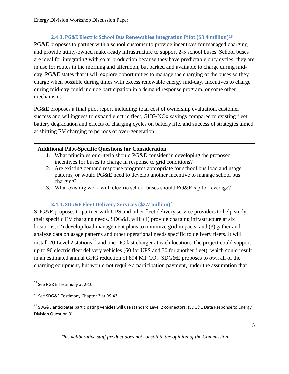#### **2.4.3. PG&E Electric School Bus Renewables Integration Pilot (\$3.4 million)<sup>25</sup>**

<span id="page-14-0"></span>PG&E proposes to partner with a school customer to provide incentives for managed charging and provide utility-owned make-ready infrastructure to support 2-5 school buses. School buses are ideal for integrating with solar production because they have predictable duty cycles: they are in use for routes in the morning and afternoon, but parked and available to charge during midday. PG&E states that it will explore opportunities to manage the charging of the buses so they charge when possible during times with excess renewable energy mid-day. Incentives to charge during mid-day could include participation in a demand response program, or some other mechanism.

PG&E proposes a final pilot report including: total cost of ownership evaluation, customer success and willingness to expand electric fleet, GHG/NOx savings compared to existing fleet, battery degradation and effects of charging cycles on battery life, and success of strategies aimed at shifting EV charging to periods of over-generation.

#### **Additional Pilot-Specific Questions for Consideration**

- 1. What principles or criteria should PG&E consider in developing the proposed incentives for buses to charge in response to grid conditions?
- 2. Are existing demand response programs appropriate for school bus load and usage patterns, or would PG&E need to develop another incentive to manage school bus charging?
- 3. What existing work with electric school buses should PG&E's pilot leverage?

# **2.4.4. SDG&E Fleet Delivery Services (\$3.7 million)<sup>26</sup>**

<span id="page-14-1"></span>SDG&E proposes to partner with UPS and other fleet delivery service providers to help study their specific EV charging needs. SDG&E will: (1) provide charging infrastructure at six locations, (2) develop load management plans to minimize grid impacts, and (3) gather and analyze data on usage patterns and other operational needs specific to delivery fleets. It will install 20 Level 2 stations<sup>27</sup> and one DC fast charger at each location. The project could support up to 90 electric fleet delivery vehicles (60 for UPS and 30 for another fleet), which could result in an estimated annual GHG reduction of 894 MT  $CO<sub>2</sub>$ . SDG&E proposes to own all of the charging equipment, but would not require a participation payment, under the assumption that

l <sup>25</sup> See PG&E Testimony at 2-10.

<sup>&</sup>lt;sup>26</sup> See SDG&E Testimony Chapter 3 at RS-43.

<sup>&</sup>lt;sup>27</sup> SDG&E anticipates participating vehicles will use standard Level 2 connectors. (SDG&E Data Response to Energy Division Question 3).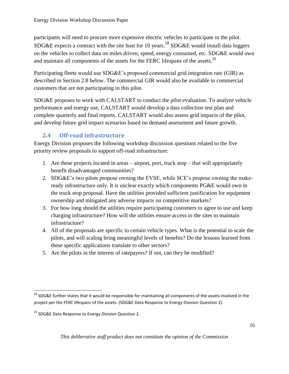participants will need to procure more expensive electric vehicles to participate in the pilot. SDG&E expects a contract with the site host for 10 years.<sup>28</sup> SDG&E would install data loggers on the vehicles to collect data on miles driven, speed, energy consumed, etc. SDG&E would own and maintain all components of the assets for the FERC lifespans of the assets.<sup>29</sup>

Participating fleets would use SDG&E's proposed commercial grid integration rate (GIR) as described in Section 2.8 below. The commercial GIR would also be available to commercial customers that are not participating in this pilot.

SDG&E proposes to work with CALSTART to conduct the pilot evaluation. To analyze vehicle performance and energy use, CALSTART would develop a data collection test plan and complete quarterly and final reports. CALSTART would also assess grid impacts of the pilot, and develop future grid impact scenarios based on demand assessment and future growth.

# **2.4 Off-road infrastructure**

<span id="page-15-0"></span>Energy Division proposes the following workshop discussion questions related to the five priority review proposals to support off-road infrastructure:

- 1. Are these projects located in areas airport, port, truck stop that will appropriately benefit disadvantaged communities?
- 2. SDG&E's two pilots propose owning the EVSE, while SCE's propose owning the makeready infrastructure only. It is unclear exactly which components PG&E would own in the truck stop proposal. Have the utilities provided sufficient justification for equipment ownership and mitigated any adverse impacts on competitive markets?
- 3. For how long should the utilities require participating customers to agree to use and keep charging infrastructure? How will the utilities ensure access to the sites to maintain infrastructure?
- 4. All of the proposals are specific to certain vehicle types. What is the potential to scale the pilots, and will scaling bring meaningful levels of benefits? Do the lessons learned from these specific applications translate to other sectors?
- 5. Are the pilots in the interest of ratepayers? If not, can they be modified?

l

 $^{28}$  SDG&E further states that it would be responsible for maintaining all components of the assets involved in the project per the FERC lifespans of the assets. (SDG&E Data Response to Energy Division Question 2).

<sup>&</sup>lt;sup>29</sup> SDG&E Data Response to Energy Division Question 2.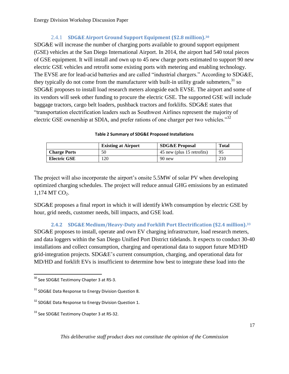# 2.4.1 **SDG&E Airport Ground Support Equipment (\$2.8 million).<sup>30</sup>**

<span id="page-16-0"></span>SDG&E will increase the number of charging ports available to ground support equipment (GSE) vehicles at the San Diego International Airport. In 2014, the airport had 540 total pieces of GSE equipment. It will install and own up to 45 new charge ports estimated to support 90 new electric GSE vehicles and retrofit some existing ports with metering and enabling technology. The EVSE are for lead-acid batteries and are called "industrial chargers." According to SDG&E, they typically do not come from the manufacturer with built-in utility grade submeters,  $31$  so SDG&E proposes to install load research meters alongside each EVSE. The airport and some of its vendors will seek other funding to procure the electric GSE. The supported GSE will include baggage tractors, cargo belt loaders, pushback tractors and forklifts. SDG&E states that "transportation electrification leaders such as Southwest Airlines represent the majority of electric GSE ownership at SDIA, and prefer rations of one charger per two vehicles.<sup>32</sup>

#### **Table 2 Summary of SDG&E Proposed Installations**

|                     | <b>Existing at Airport</b> | <b>SDG&amp;E Proposal</b>  | <b>Total</b> |
|---------------------|----------------------------|----------------------------|--------------|
| <b>Charge Ports</b> | 50                         | 45 new (plus 15 retrofits) | 95           |
| <b>Electric GSE</b> | .20                        | 90 new                     | 210          |

The project will also incorporate the airport's onsite 5.5MW of solar PV when developing optimized charging schedules. The project will reduce annual GHG emissions by an estimated  $1,174$  MT CO<sub>2</sub>.

SDG&E proposes a final report in which it will identify kWh consumption by electric GSE by hour, grid needs, customer needs, bill impacts, and GSE load.

<span id="page-16-1"></span>**2.4.2 SDG&E Medium/Heavy-Duty and Forklift Port Electrification (\$2.4 million).<sup>33</sup>** SDG&E proposes to install, operate and own EV charging infrastructure, load research meters, and data loggers within the San Diego Unified Port District tidelands. It expects to conduct 30-40 installations and collect consumption, charging and operational data to support future MD/HD grid-integration projects. SDG&E's current consumption, charging, and operational data for MD/HD and forklift EVs is insufficient to determine how best to integrate these load into the

l  $^{30}$  See SDG&E Testimony Chapter 3 at RS-3.

<sup>&</sup>lt;sup>31</sup> SDG&E Data Response to Energy Division Question 8.

<sup>&</sup>lt;sup>32</sup> SDG&E Data Response to Energy Division Question 1.

<sup>&</sup>lt;sup>33</sup> See SDG&E Testimony Chapter 3 at RS-32.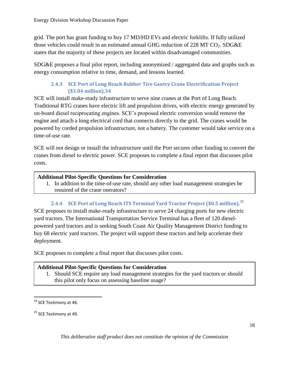grid. The port has grant funding to buy 17 MD/HD EVs and electric forklifts. If fully utilized those vehicles could result in an estimated annual GHG reduction of 228 MT  $CO<sub>2</sub>$ . SDG&E states that the majority of these projects are located within disadvantaged communities.

SDG&E proposes a final pilot report, including anonymized / aggregated data and graphs such as energy consumption relative to time, demand, and lessons learned.

## **2.4.3 SCE Port of Long Beach Rubber Tire Gantry Crane Electrification Project (\$3.04 million).34**

<span id="page-17-0"></span>SCE will install make-ready infrastructure to serve nine cranes at the Port of Long Beach. Traditional RTG cranes have electric lift and propulsion drives, with electric energy generated by on-board diesel reciprocating engines. SCE's proposed electric conversion would remove the engine and attach a long electrical cord that connects directly to the grid. The cranes would be powered by corded propulsion infrastructure, not a battery. The customer would take service on a time-of-use rate.

SCE will not design or install the infrastructure until the Port secures other funding to convert the cranes from diesel to electric power. SCE proposes to complete a final report that discusses pilot costs.

#### **Additional Pilot-Specific Questions for Consideration**

1. In addition to the time-of-use rate, should any other load management strategies be required of the crane operators?

#### **2.4.4 SCE Port of Long Beach ITS Terminal Yard Tractor Project (\$0.5 million).<sup>35</sup>**

<span id="page-17-1"></span>SCE proposes to install make-ready infrastructure to serve 24 charging ports for new electric yard tractors. The International Transportation Service Terminal has a fleet of 120 dieselpowered yard tractors and is seeking South Coast Air Quality Management District funding to buy 68 electric yard tractors. The project will support these tractors and help accelerate their deployment.

SCE proposes to complete a final report that discusses pilot costs.

#### **Additional Pilot-Specific Questions for Consideration**

1. Should SCE require any load management strategies for the yard tractors or should this pilot only focus on assessing baseline usage?

 $\overline{\phantom{a}}$ 

<sup>&</sup>lt;sup>34</sup> SCE Testimony at 46.

<sup>&</sup>lt;sup>35</sup> SCE Testimony at 49.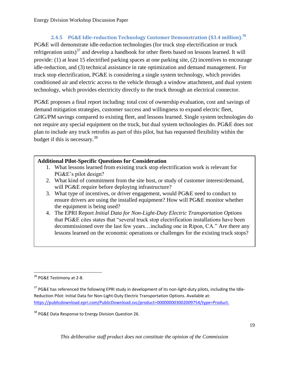# **2.4.5 PG&E Idle-reduction Technology Customer Demonstration (\$3.4 million).<sup>36</sup>**

<span id="page-18-0"></span>PG&E will demonstrate idle-reduction technologies (for truck stop electrification or truck refrigeration units) $37$  and develop a handbook for other fleets based on lessons learned. It will provide: (1) at least 15 electrified parking spaces at one parking site, (2) incentives to encourage idle-reduction, and (3) technical assistance in rate optimization and demand management. For truck stop electrification, PG&E is considering a single system technology, which provides conditioned air and electric access to the vehicle through a window attachment, and dual system technology, which provides electricity directly to the truck through an electrical connector.

PG&E proposes a final report including: total cost of ownership evaluation, cost and savings of demand mitigation strategies, customer success and willingness to expand electric fleet, GHG/PM savings compared to existing fleet, and lessons learned. Single system technologies do not require any special equipment on the truck, but dual system technologies do. PG&E does not plan to include any truck retrofits as part of this pilot, but has requested flexibility within the budget if this is necessary.<sup>38</sup>

#### **Additional Pilot-Specific Questions for Consideration**

- 1. What lessons learned from existing truck stop electrification work is relevant for PG&E's pilot design?
- 2. What kind of commitment from the site host, or study of customer interest/demand, will PG&E require before deploying infrastructure?
- 3. What type of incentives, or driver engagement, would PG&E need to conduct to ensure drivers are using the installed equipment? How will PG&E monitor whether the equipment is being used?
- 4. The EPRI Report *Initial Data for Non-Light-Duty Electric Transportation Options* that PG&E cites states that "several truck stop electrification installations have been decommissioned over the last few years…including one in Ripon, CA." Are there any lessons learned on the economic operations or challenges for the existing truck stops?

 $\overline{\phantom{a}}$ <sup>36</sup> PG&E Testimony at 2-8.

<sup>&</sup>lt;sup>37</sup> PG&E has referenced the following EPRI study in development of its non-light-duty pilots, including the Idle-Reduction Pilot: Initial Data for Non-Light-Duty Electric Transportation Options. Available at: [https://publicdownload.epri.com/PublicDownload.svc/product=000000003002009754/type=Product.](https://publicdownload.epri.com/PublicDownload.svc/product=000000003002009754/type=Product)

<sup>&</sup>lt;sup>38</sup> PG&E Data Response to Energy Division Question 26.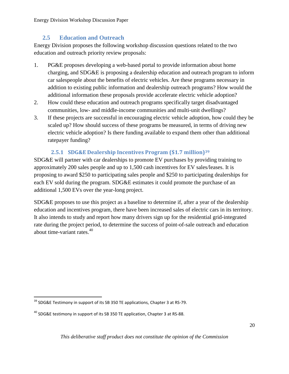# **2.5 Education and Outreach**

<span id="page-19-0"></span>Energy Division proposes the following workshop discussion questions related to the two education and outreach priority review proposals:

- 1. PG&E proposes developing a web-based portal to provide information about home charging, and SDG&E is proposing a dealership education and outreach program to inform car salespeople about the benefits of electric vehicles. Are these programs necessary in addition to existing public information and dealership outreach programs? How would the additional information these proposals provide accelerate electric vehicle adoption?
- 2. How could these education and outreach programs specifically target disadvantaged communities, low- and middle-income communities and multi-unit dwellings?
- 3. If these projects are successful in encouraging electric vehicle adoption, how could they be scaled up? How should success of these programs be measured, in terms of driving new electric vehicle adoption? Is there funding available to expand them other than additional ratepayer funding?

#### **2.5.1 SDG&E Dealership Incentives Program (\$1.7 million)<sup>39</sup>**

<span id="page-19-1"></span>SDG&E will partner with car dealerships to promote EV purchases by providing training to approximately 200 sales people and up to 1,500 cash incentives for EV sales/leases. It is proposing to award \$250 to participating sales people and \$250 to participating dealerships for each EV sold during the program. SDG&E estimates it could promote the purchase of an additional 1,500 EVs over the year-long project.

SDG&E proposes to use this project as a baseline to determine if, after a year of the dealership education and incentives program, there have been increased sales of electric cars in its territory. It also intends to study and report how many drivers sign up for the residential grid-integrated rate during the project period, to determine the success of point-of-sale outreach and education about time-variant rates.<sup>40</sup>

 $^{39}$  SDG&E Testimony in support of its SB 350 TE applications, Chapter 3 at RS-79.

 $^{40}$  SDG&E testimony in support of its SB 350 TE application, Chapter 3 at RS-88.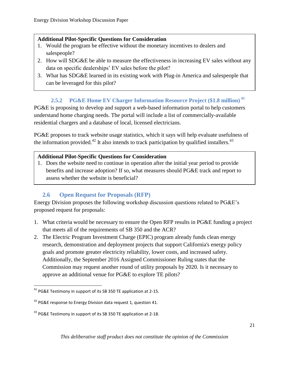#### **Additional Pilot-Specific Questions for Consideration**

- 1. Would the program be effective without the monetary incentives to dealers and salespeople?
- 2. How will SDG&E be able to measure the effectiveness in increasing EV sales without any data on specific dealerships' EV sales before the pilot?
- 3. What has SDG&E learned in its existing work with Plug-in America and salespeople that can be leveraged for this pilot?

# <span id="page-20-0"></span>**2.5.2 PG&E Home EV Charger Information Resource Project (\$1.8 million) <sup>41</sup>**

PG&E is proposing to develop and support a web-based information portal to help customers understand home charging needs. The portal will include a list of commercially-available residential chargers and a database of local, licensed electricians.

PG&E proposes to track website usage statistics, which it says will help evaluate usefulness of the information provided.<sup>42</sup> It also intends to track participation by qualified installers.<sup>43</sup>

#### **Additional Pilot-Specific Questions for Consideration**

1. Does the website need to continue in operation after the initial year period to provide benefits and increase adoption? If so, what measures should PG&E track and report to assess whether the website is beneficial?

# **2.6 Open Request for Proposals (RFP)**

<span id="page-20-1"></span>Energy Division proposes the following workshop discussion questions related to PG&E's proposed request for proposals:

- 1. What criteria would be necessary to ensure the Open RFP results in PG&E funding a project that meets all of the requirements of SB 350 and the ACR?
- 2. The Electric Program Investment Charge (EPIC) program already funds clean energy research, demonstration and deployment projects that support California's energy policy goals and promote greater electricity reliability, lower costs, and increased safety. Additionally, the September 2016 Assigned Commissioner Ruling states that the Commission may request another round of utility proposals by 2020. Is it necessary to approve an additional venue for PG&E to explore TE pilots?

 $\overline{\phantom{a}}$ 

<sup>&</sup>lt;sup>41</sup> PG&E Testimony in support of its SB 350 TE application at 2-15.

<sup>&</sup>lt;sup>42</sup> PG&E response to Energy Division data request 1, question 41.

<sup>&</sup>lt;sup>43</sup> PG&E Testimony in support of its SB 350 TE application at 2-18.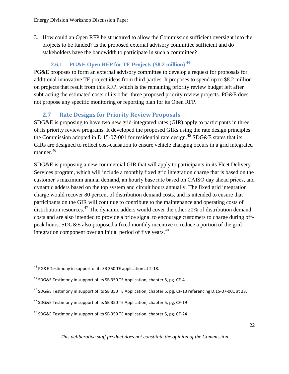3. How could an Open RFP be structured to allow the Commission sufficient oversight into the projects to be funded? Is the proposed external advisory committee sufficient and do stakeholders have the bandwidth to participate in such a committee?

# <span id="page-21-0"></span>**2.6.1 PG&E Open RFP for TE Projects (\$8.2 million) <sup>44</sup>**

PG&E proposes to form an external advisory committee to develop a request for proposals for additional innovative TE project ideas from third parties. It proposes to spend up to \$8.2 million on projects that result from this RFP, which is the remaining priority review budget left after subtracting the estimated costs of its other three proposed priority review projects. PG&E does not propose any specific monitoring or reporting plan for its Open RFP.

# **2.7 Rate Designs for Priority Review Proposals**

<span id="page-21-1"></span>SDG&E is proposing to have two new grid-integrated rates (GIR) apply to participants in three of its priority review programs. It developed the proposed GIRs using the rate design principles the Commission adopted in D.15-07-001 for residential rate design.<sup>45</sup> SDG&E states that its GIRs are designed to reflect cost-causation to ensure vehicle charging occurs in a grid integrated manner. 46

SDG&E is proposing a new commercial GIR that will apply to participants in its Fleet Delivery Services program, which will include a monthly fixed grid integration charge that is based on the customer's maximum annual demand, an hourly base rate based on CAISO day ahead prices, and dynamic adders based on the top system and circuit hours annually. The fixed grid integration charge would recover 80 percent of distribution demand costs, and is intended to ensure that participants on the GIR will continue to contribute to the maintenance and operating costs of distribution resources.<sup>47</sup> The dynamic adders would cover the other 20% of distribution demand costs and are also intended to provide a price signal to encourage customers to charge during offpeak hours. SDG&E also proposed a fixed monthly incentive to reduce a portion of the grid integration component over an initial period of five years.<sup>48</sup>

l <sup>44</sup> PG&E Testimony in support of its SB 350 TE application at 2-18.

<sup>45</sup> SDG&E Testimony in support of its SB 350 TE Application, chapter 5, pg. CF-4

<sup>46</sup> SDG&E Testimony in support of its SB 350 TE Application, chapter 5, pg. CF-13 referencing D.15-07-001 at 28.

<sup>&</sup>lt;sup>47</sup> SDG&E Testimony in support of its SB 350 TE Application, chapter 5, pg. CF-19

 $48$  SDG&E Testimony in support of its SB 350 TE Application, chapter 5, pg. CF-24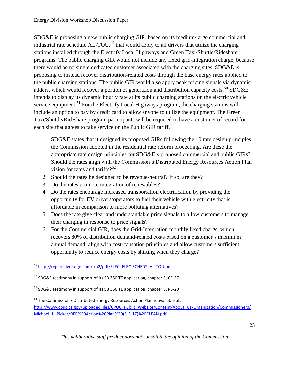SDG&E is proposing a new public charging GIR, based on its medium/large commercial and industrial rate schedule  $AL-TOU<sup>49</sup>$ , that would apply to all drivers that utilize the charging stations installed through the Electrify Local Highways and Green Taxi/Shuttle/Rideshare programs. The public charging GIR would not include any fixed grid-integration charge, because there would be no single dedicated customer associated with the charging sites. SDG&E is proposing to instead recover distribution-related costs through the base energy rates applied to the public charging stations. The public GIR would also apply peak pricing signals via dynamic adders, which would recover a portion of generation and distribution capacity costs.<sup>50</sup> SDG&E intends to display its dynamic hourly rate at its public charging stations on the electric vehicle service equipment.<sup>51</sup> For the Electrify Local Highways program, the charging stations will include an option to pay by credit card to allow anyone to utilize the equipment. The Green Taxi/Shuttle/Rideshare program participants will be required to have a customer of record for each site that agrees to take service on the Public GIR tariff.

- 1. SDG&E states that it designed its proposed GIRs following the 10 rate design principles the Commission adopted in the residential rate reform proceeding. Are these the appropriate rate design principles for SDG&E's proposed commercial and public GIRs? Should the rates align with the Commission's Distributed Energy Resources Action Plan vision for rates and tariffs? $5^{52}$
- 2. Should the rates be designed to be revenue-neutral? If so, are they?
- 3. Do the rates promote integration of renewables?
- 4. Do the rates encourage increased transportation electrification by providing the opportunity for EV drivers/operators to fuel their vehicle with electricity that is affordable in comparison to more polluting alternatives?
- 5. Does the rate give clear and understandable price signals to allow customers to manage their charging in response to price signals?
- 6. For the Commercial GIR, does the Grid-Integration monthly fixed charge, which recovers 80% of distribution demand-related costs based on a customer's maximum annual demand, align with cost-causation principles and allow customers sufficient opportunity to reduce energy costs by shifting when they charge?

 $\overline{\phantom{a}}$ <sup>49</sup> [http://regarchive.sdge.com/tm2/pdf/ELEC\\_ELEC-SCHEDS\\_AL-TOU.pdf](http://regarchive.sdge.com/tm2/pdf/ELEC_ELEC-SCHEDS_AL-TOU.pdf).

 $50$  SDG&E testimony in support of its SB 350 TE application, chapter 5, CF-27.

 $51$  SDG&E testimony in support of its SB 350 TE application, chapter 3, RS-20

 $52$  The Commission's Distributed Energy Resources Action Plan is available at: [http://www.cpuc.ca.gov/uploadedFiles/CPUC\\_Public\\_Website/Content/About\\_Us/Organization/Commissioners/](http://www.cpuc.ca.gov/uploadedFiles/CPUC_Public_Website/Content/About_Us/Organization/Commissioners/Michael_J._Picker/DER%20Action%20Plan%20(5-3-17)%20CLEAN.pdf) Michael J. Picker/DER%20Action%20Plan%20(5-3-17)%20CLEAN.pdf.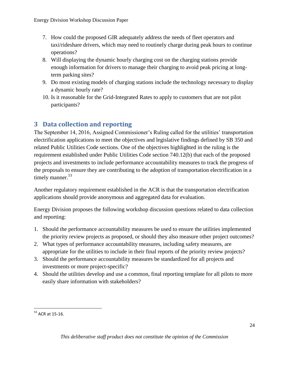- 7. How could the proposed GIR adequately address the needs of fleet operators and taxi/rideshare drivers, which may need to routinely charge during peak hours to continue operations?
- 8. Will displaying the dynamic hourly charging cost on the charging stations provide enough information for drivers to manage their charging to avoid peak pricing at longterm parking sites?
- 9. Do most existing models of charging stations include the technology necessary to display a dynamic hourly rate?
- 10. Is it reasonable for the Grid-Integrated Rates to apply to customers that are not pilot participants?

# <span id="page-23-0"></span>**3 Data collection and reporting**

The September 14, 2016, Assigned Commissioner's Ruling called for the utilities' transportation electrification applications to meet the objectives and legislative findings defined by SB 350 and related Public Utilities Code sections. One of the objectives highlighted in the ruling is the requirement established under Public Utilities Code section 740.12(b) that each of the proposed projects and investments to include performance accountability measures to track the progress of the proposals to ensure they are contributing to the adoption of transportation electrification in a timely manner.<sup>53</sup>

Another regulatory requirement established in the ACR is that the transportation electrification applications should provide anonymous and aggregated data for evaluation.

Energy Division proposes the following workshop discussion questions related to data collection and reporting:

- 1. Should the performance accountability measures be used to ensure the utilities implemented the priority review projects as proposed, or should they also measure other project outcomes?
- 2. What types of performance accountability measures, including safety measures, are appropriate for the utilities to include in their final reports of the priority review projects?
- 3. Should the performance accountability measures be standardized for all projects and investments or more project-specific?
- 4. Should the utilities develop and use a common, final reporting template for all pilots to more easily share information with stakeholders?

 $\overline{\phantom{a}}$  $53$  ACR at 15-16.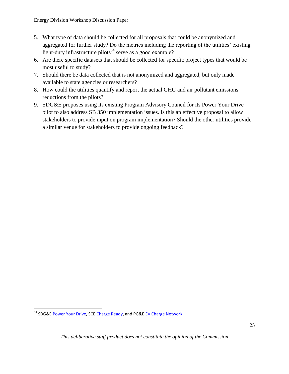- 5. What type of data should be collected for all proposals that could be anonymized and aggregated for further study? Do the metrics including the reporting of the utilities' existing light-duty infrastructure pilots<sup>54</sup> serve as a good example?
- 6. Are there specific datasets that should be collected for specific project types that would be most useful to study?
- 7. Should there be data collected that is not anonymized and aggregated, but only made available to state agencies or researchers?
- 8. How could the utilities quantify and report the actual GHG and air pollutant emissions reductions from the pilots?
- 9. SDG&E proposes using its existing Program Advisory Council for its Power Your Drive pilot to also address SB 350 implementation issues. Is this an effective proposal to allow stakeholders to provide input on program implementation? Should the other utilities provide a similar venue for stakeholders to provide ongoing feedback?

<sup>&</sup>lt;sup>54</sup> SDG&E [Power Your Drive,](https://www.sdge.com/clean-energy/electric-vehicles/poweryourdrive) SC[E Charge Ready,](https://www.sce.com/wps/portal/home/business/electric-cars/Charge-Ready/!ut/p/b1/hc7NDoIwEATgZ_EJOi2klmOJWLag_ArYi-FESBQ9GJ9fNHoxUfc2yTeTZY51zE39bRz663ie-uMjO3mwtNLc-IKyOhHQuzJP1dqHNHwG-xngy2n867fMPQlXRsdUgVRtIlCYIGhyYdVGfgJTLgXINlGahVzAFy8QGESxzWZQFx7IK7CttPaA98KPJy-nDiMNiztkFegk/dl4/d5/L2dBISEvZ0FBIS9nQSEh/?ecid=van_chargeready) and PG&E [EV Charge Network.](https://www.pge.com/en_US/residential/solar-and-vehicles/options/clean-vehicles/charging-stations/ev-charging-infrastructure-program.page)

*This deliberative staff product does not constitute the opinion of the Commission*